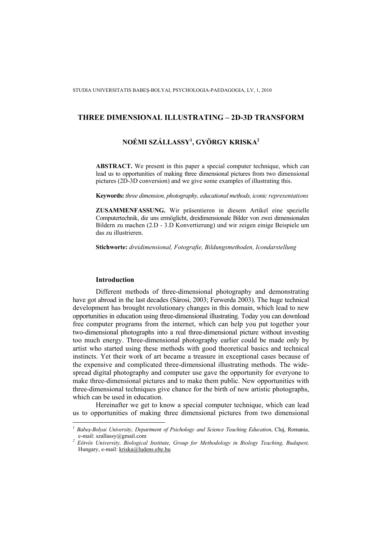# **THREE DIMENSIONAL ILLUSTRATING – 2D-3D TRANSFORM**

# **NOÉMI SZÁLLASSY<sup>1</sup> , GYÖRGY KRISKA<sup>2</sup>**

**ABSTRACT.** We present in this paper a special computer technique, which can lead us to opportunities of making three dimensional pictures from two dimensional pictures (2D-3D conversion) and we give some examples of illustrating this.

**Keywords:** *three dimension, photography, educational methods, iconic representations*

**ZUSAMMENFASSUNG.** Wir präsentieren in diesem Artikel eine spezielle Computertechnik, die uns ermöglicht, dreidimensionale Bilder von zwei dimensionalen Bildern zu machen (2.D - 3.D Konvertierung) und wir zeigen einige Beispiele um das zu illustrieren.

**Stichworte:** *dreidimensional, Fotografie, Bildungsmethoden, Icondarstellung* 

## **Introduction**

 $\overline{a}$ 

Different methods of three-dimensional photography and demonstrating have got abroad in the last decades (Sárosi, 2003; Ferwerda 2003). The huge technical development has brought revolutionary changes in this domain, which lead to new opportunities in education using three-dimensional illustrating. Today you can download free computer programs from the internet, which can help you put together your two-dimensional photographs into a real three-dimensional picture without investing too much energy. Three-dimensional photography earlier could be made only by artist who started using these methods with good theoretical basics and technical instincts. Yet their work of art became a treasure in exceptional cases because of the expensive and complicated three-dimensional illustrating methods. The widespread digital photography and computer use gave the opportunity for everyone to make three-dimensional pictures and to make them public. New opportunities with three-dimensional techniques give chance for the birth of new artistic photographs, which can be used in education.

Hereinafter we get to know a special computer technique, which can lead us to opportunities of making three dimensional pictures from two dimensional

<sup>1</sup> *Babeş-Bolyai University, Department of Psichology and Science Teaching Education*, Cluj, Romania, e-mail: szallassy@gmail.com *<sup>2</sup>*

*Eötvös University, Biological Institute, Group for Methodology in Biology Teaching, Budapest,* Hungary, e-mail: kriska@ludens.elte.hu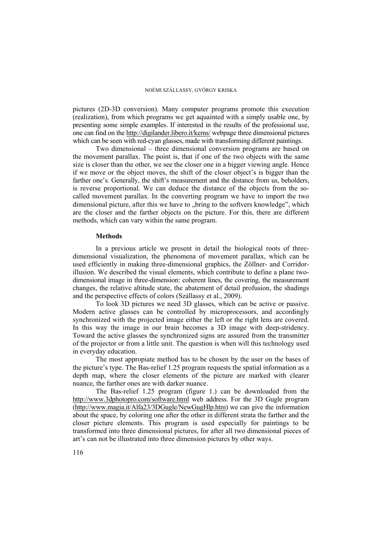### NOÉMI SZÁLLASSY, GYÖRGY KRISKA

pictures (2D-3D conversion). Many computer programs promote this execution (realization), from which programs we get aquainted with a simply usable one, by presenting some simple examples. If interested in the results of the professional use, one can find on the http://digilander.libero.it/kems/ webpage three dimensional pictures which can be seen with red-cyan glasses, made with transforming different paintings.

Two dimensional – three dimensional conversion programs are based on the movement parallax. The point is, that if one of the two objects with the same size is closer than the other, we see the closer one in a bigger viewing angle. Hence if we move or the object moves, the shift of the closer object's is bigger than the farther one's. Generally, the shift's measurement and the distance from us, beholders, is reverse proportional. We can deduce the distance of the objects from the socalled movement parallax. In the converting program we have to import the two dimensional picture, after this we have to "bring to the softvers knowledge", which are the closer and the farther objects on the picture. For this, there are different methods, which can vary within the same program.

## **Methods**

In a previous article we present in detail the biological roots of threedimensional visualization, the phenomena of movement parallax, which can be used efficiently in making three-dimensional graphics, the Zöllner- and Corridorillusion. We described the visual elements, which contribute to define a plane twodimensional image in three-dimension: coherent lines, the covering, the measurement changes, the relative altitude state, the abatement of detail profusion, the shadings and the perspective effects of colors (Szállassy et al., 2009).

To look 3D pictures we need 3D glasses, which can be active or passive. Modern active glasses can be controlled by microprocessors, and accordingly synchronized with the projected image either the left or the right lens are covered. In this way the image in our brain becomes a 3D image with deep-stridency. Toward the active glasses the synchronized signs are assured from the transmitter of the projector or from a little unit. The question is when will this technology used in everyday education.

The most appropiate method has to be chosen by the user on the bases of the picture's type. The Bas-relief 1.25 program requests the spatial information as a depth map, where the closer elements of the picture are marked with clearer nuance, the farther ones are with darker nuance.

The Bas-relief 1.25 program (figure 1.) can be downloaded from the http://www.3dphotopro.com/software.html web address. For the 3D Gugle program (http://www.magia.it/Alfa23/3DGugle/NewGugHlp.htm) we can give the information about the space, by coloring one after the other in different strata the farther and the closer picture elements. This program is used especially for paintings to be transformed into three dimensional pictures, for after all two dimensional pieces of art's can not be illustrated into three dimension pictures by other ways.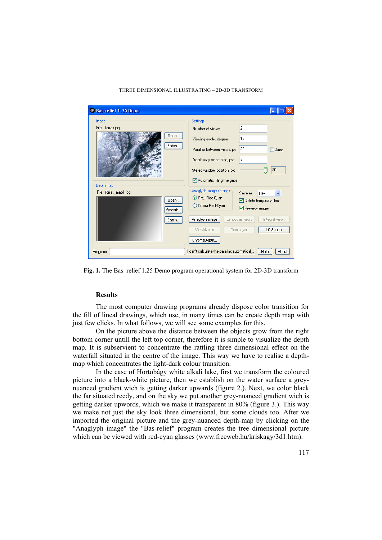## THREE DIMENSIONAL ILLUSTRATING – 2D-3D TRANSFORM

| Bas-relief 1.25 Demo                                          |                                                                                                                                 |
|---------------------------------------------------------------|---------------------------------------------------------------------------------------------------------------------------------|
| Image                                                         | Settings                                                                                                                        |
| File: forras.jpg                                              | $\overline{c}$<br>Number of views:                                                                                              |
| Open<br>Batch                                                 | 12<br>Viewing angle, degrees:                                                                                                   |
|                                                               | 20<br>Parallax between views, px:<br>Auto                                                                                       |
|                                                               | 3<br>Depth map smoothing, px:                                                                                                   |
|                                                               | 20<br>Stereo window position, px:                                                                                               |
|                                                               | Automatic filling the gaps                                                                                                      |
| Depth map<br>File: forras_map1.jpg<br>Open<br>Smooth<br>Batch | Anaglyph image settings<br>Save as:<br>TIFF<br>⊙ Grey Red-Cyan<br>Delete temporary files<br>C Colour Red-Cyan<br>Preview images |
|                                                               | Anaglyph image<br>Lenticular views<br>Integral views                                                                            |
|                                                               | LC Shutter<br>ViewMaster<br>Cross eyed                                                                                          |
|                                                               | ChromaDepth                                                                                                                     |
| Progress:                                                     | I can't calculate the parallax automatically.<br>Help<br>About                                                                  |

**Fig. 1.** The Bas–relief 1.25 Demo program operational system for 2D-3D transform

## **Results**

The most computer drawing programs already dispose color transition for the fill of lineal drawings, which use, in many times can be create depth map with just few clicks. In what follows, we will see some examples for this.

On the picture above the distance between the objects grow from the right bottom corner untill the left top corner, therefore it is simple to visualize the depth map. It is subservient to concentrate the rattling three dimensional effect on the waterfall situated in the centre of the image. This way we have to realise a depthmap which concentrates the light-dark colour transition.

In the case of Hortobágy white alkali lake, first we transform the coloured picture into a black-white picture, then we establish on the water surface a greynuanced gradient wich is getting darker upwards (figure 2.). Next, we color black the far situated reedy, and on the sky we put another grey-nuanced gradient wich is getting darker upwords, which we make it transparent in 80% (figure 3.). This way we make not just the sky look three dimensional, but some clouds too. After we imported the original picture and the grey-nuanced depth-map by clicking on the "Anaglyph image" the "Bas-relief" program creates the tree dimensional picture which can be viewed with red-cyan glasses (www.freeweb.hu/kriskagy/3d1.htm).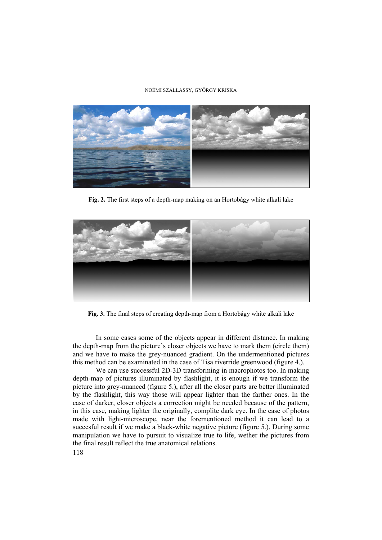### NOÉMI SZÁLLASSY, GYÖRGY KRISKA



**Fig. 2.** The first steps of a depth-map making on an Hortobágy white alkali lake



**Fig. 3.** The final steps of creating depth-map from a Hortobágy white alkali lake

In some cases some of the objects appear in different distance. In making the depth-map from the picture's closer objects we have to mark them (circle them) and we have to make the grey-nuanced gradient. On the undermentioned pictures this method can be examinated in the case of Tisa riverride greenwood (figure 4.).

We can use successful 2D-3D transforming in macrophotos too. In making depth-map of pictures illuminated by flashlight, it is enough if we transform the picture into grey-nuanced (figure 5.), after all the closer parts are better illuminated by the flashlight, this way those will appear lighter than the farther ones. In the case of darker, closer objects a correction might be needed because of the pattern, in this case, making lighter the originally, complite dark eye. In the case of photos made with light-microscope, near the forementioned method it can lead to a succesful result if we make a black-white negative picture (figure 5.). During some manipulation we have to pursuit to visualize true to life, wether the pictures from the final result reflect the true anatomical relations.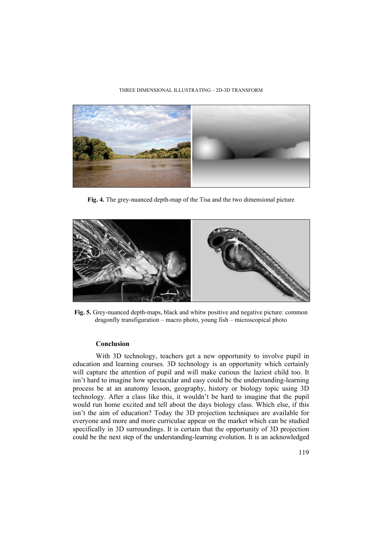## THREE DIMENSIONAL ILLUSTRATING – 2D-3D TRANSFORM



**Fig. 4.** The grey-nuanced depth-map of the Tisa and the two dimensional picture



**Fig. 5.** Grey-nuanced depth-maps, black and whitw positive and negative picture: common dragonfly transfiguration – macro photo, young fish – microscopical photo

## **Conclusion**

With 3D technology, teachers get a new opportunity to involve pupil in education and learning courses. 3D technology is an opportunity which certainly will capture the attention of pupil and will make curious the laziest child too. It isn't hard to imagine how spectacular and easy could be the understanding-learning process be at an anatomy lesson, geography, history or biology topic using 3D technology. After a class like this, it wouldn't be hard to imagine that the pupil would run home excited and tell about the days biology class. Which else, if this isn't the aim of education? Today the 3D projection techniques are available for everyone and more and more curriculae appear on the market which can be studied specifically in 3D surroundings. It is certain that the opportunity of 3D projection could be the next step of the understanding-learning evolution. It is an acknowledged